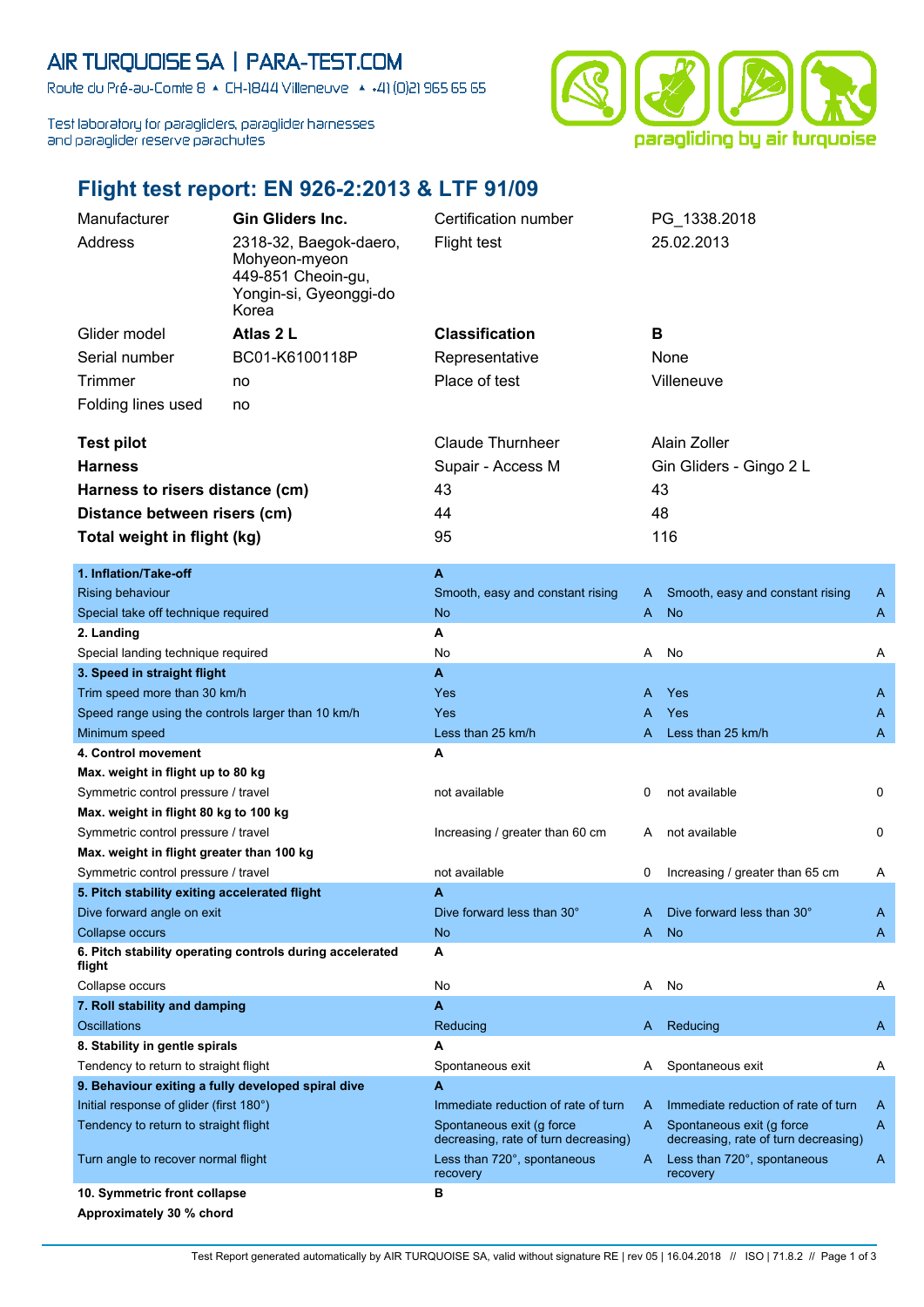## AIR TURQUOISE SA | PARA-TEST.COM

Route du Pré-au-Comte 8 & CH-1844 Villeneuve | 4 +41 (0)21 965 65 65

Test laboratory for paragliders, paraglider harnesses and paraglider reserve parachutes



## **Flight test report: EN 926-2:2013 & LTF 91/09**

| Manufacturer<br><b>Gin Gliders Inc.</b>                                              |                                                          | Certification number                                             |            | PG_1338.2018                                                     |              |  |
|--------------------------------------------------------------------------------------|----------------------------------------------------------|------------------------------------------------------------------|------------|------------------------------------------------------------------|--------------|--|
| Address                                                                              | 2318-32, Baegok-daero,                                   | <b>Flight test</b>                                               |            | 25.02.2013                                                       |              |  |
|                                                                                      | Mohyeon-myeon                                            |                                                                  |            |                                                                  |              |  |
|                                                                                      | 449-851 Cheoin-gu,                                       |                                                                  |            |                                                                  |              |  |
|                                                                                      | Yongin-si, Gyeonggi-do<br>Korea                          |                                                                  |            |                                                                  |              |  |
|                                                                                      | Atlas 2 L                                                |                                                                  | B          |                                                                  |              |  |
| Glider model                                                                         |                                                          | <b>Classification</b>                                            |            |                                                                  |              |  |
| Serial number                                                                        | BC01-K6100118P                                           | Representative                                                   |            | None                                                             |              |  |
| Trimmer                                                                              | no                                                       | Place of test                                                    | Villeneuve |                                                                  |              |  |
| Folding lines used                                                                   | no                                                       |                                                                  |            |                                                                  |              |  |
| <b>Test pilot</b>                                                                    |                                                          | <b>Claude Thurnheer</b>                                          |            | Alain Zoller                                                     |              |  |
| <b>Harness</b>                                                                       |                                                          | Supair - Access M                                                |            | Gin Gliders - Gingo 2 L                                          |              |  |
|                                                                                      |                                                          | 43                                                               |            | 43                                                               |              |  |
| Harness to risers distance (cm)                                                      |                                                          |                                                                  |            |                                                                  |              |  |
| Distance between risers (cm)                                                         |                                                          | 44                                                               |            | 48                                                               |              |  |
| Total weight in flight (kg)                                                          |                                                          | 95                                                               |            | 116                                                              |              |  |
| 1. Inflation/Take-off                                                                |                                                          | A                                                                |            |                                                                  |              |  |
| <b>Rising behaviour</b>                                                              |                                                          | Smooth, easy and constant rising                                 | A          | Smooth, easy and constant rising                                 | A            |  |
| Special take off technique required                                                  |                                                          | <b>No</b>                                                        | A          | <b>No</b>                                                        | A            |  |
| 2. Landing                                                                           |                                                          | A                                                                |            |                                                                  |              |  |
| Special landing technique required                                                   |                                                          | No                                                               | A          | No                                                               | Α            |  |
| 3. Speed in straight flight                                                          |                                                          | A                                                                |            |                                                                  |              |  |
| Trim speed more than 30 km/h                                                         |                                                          | Yes                                                              | Α          | Yes                                                              | A            |  |
| Speed range using the controls larger than 10 km/h                                   |                                                          | <b>Yes</b>                                                       | Α          | Yes                                                              | A            |  |
| Minimum speed                                                                        |                                                          | Less than 25 km/h                                                | A          | Less than 25 km/h                                                | A            |  |
| 4. Control movement                                                                  |                                                          | A                                                                |            |                                                                  |              |  |
| Max. weight in flight up to 80 kg                                                    |                                                          |                                                                  |            |                                                                  |              |  |
| Symmetric control pressure / travel                                                  |                                                          | not available                                                    | 0          | not available                                                    | 0            |  |
| Max. weight in flight 80 kg to 100 kg                                                |                                                          |                                                                  |            |                                                                  |              |  |
| Symmetric control pressure / travel                                                  |                                                          | Increasing / greater than 60 cm                                  | A          | not available                                                    | 0            |  |
| Max. weight in flight greater than 100 kg                                            |                                                          | not available                                                    | 0          | Increasing / greater than 65 cm                                  | A            |  |
| Symmetric control pressure / travel<br>5. Pitch stability exiting accelerated flight |                                                          | A                                                                |            |                                                                  |              |  |
| Dive forward angle on exit                                                           |                                                          | Dive forward less than 30°                                       | A          | Dive forward less than 30°                                       | A            |  |
| Collapse occurs                                                                      |                                                          | <b>No</b>                                                        | A          | <b>No</b>                                                        | $\mathsf{A}$ |  |
|                                                                                      | 6. Pitch stability operating controls during accelerated | A                                                                |            |                                                                  |              |  |
| flight                                                                               |                                                          |                                                                  |            |                                                                  |              |  |
| Collapse occurs                                                                      |                                                          | No                                                               | Α          | No                                                               | A            |  |
| 7. Roll stability and damping                                                        |                                                          | A                                                                |            |                                                                  |              |  |
| Oscillations                                                                         |                                                          | Reducing                                                         | A.         | Reducing                                                         | A            |  |
| 8. Stability in gentle spirals                                                       |                                                          | A                                                                |            |                                                                  |              |  |
| Tendency to return to straight flight                                                |                                                          | Spontaneous exit                                                 | A          | Spontaneous exit                                                 | A            |  |
| 9. Behaviour exiting a fully developed spiral dive                                   |                                                          | A                                                                |            |                                                                  |              |  |
| Initial response of glider (first 180°)<br>Tendency to return to straight flight     |                                                          | Immediate reduction of rate of turn<br>Spontaneous exit (g force | A<br>A     | Immediate reduction of rate of turn<br>Spontaneous exit (g force | A<br>A       |  |
|                                                                                      |                                                          | decreasing, rate of turn decreasing)                             |            | decreasing, rate of turn decreasing)                             |              |  |
| Turn angle to recover normal flight                                                  |                                                          | Less than 720°, spontaneous<br>recovery                          | A          | Less than 720°, spontaneous<br>recovery                          | A            |  |
| 10. Symmetric front collapse                                                         |                                                          | в                                                                |            |                                                                  |              |  |
| Approximately 30 % chord                                                             |                                                          |                                                                  |            |                                                                  |              |  |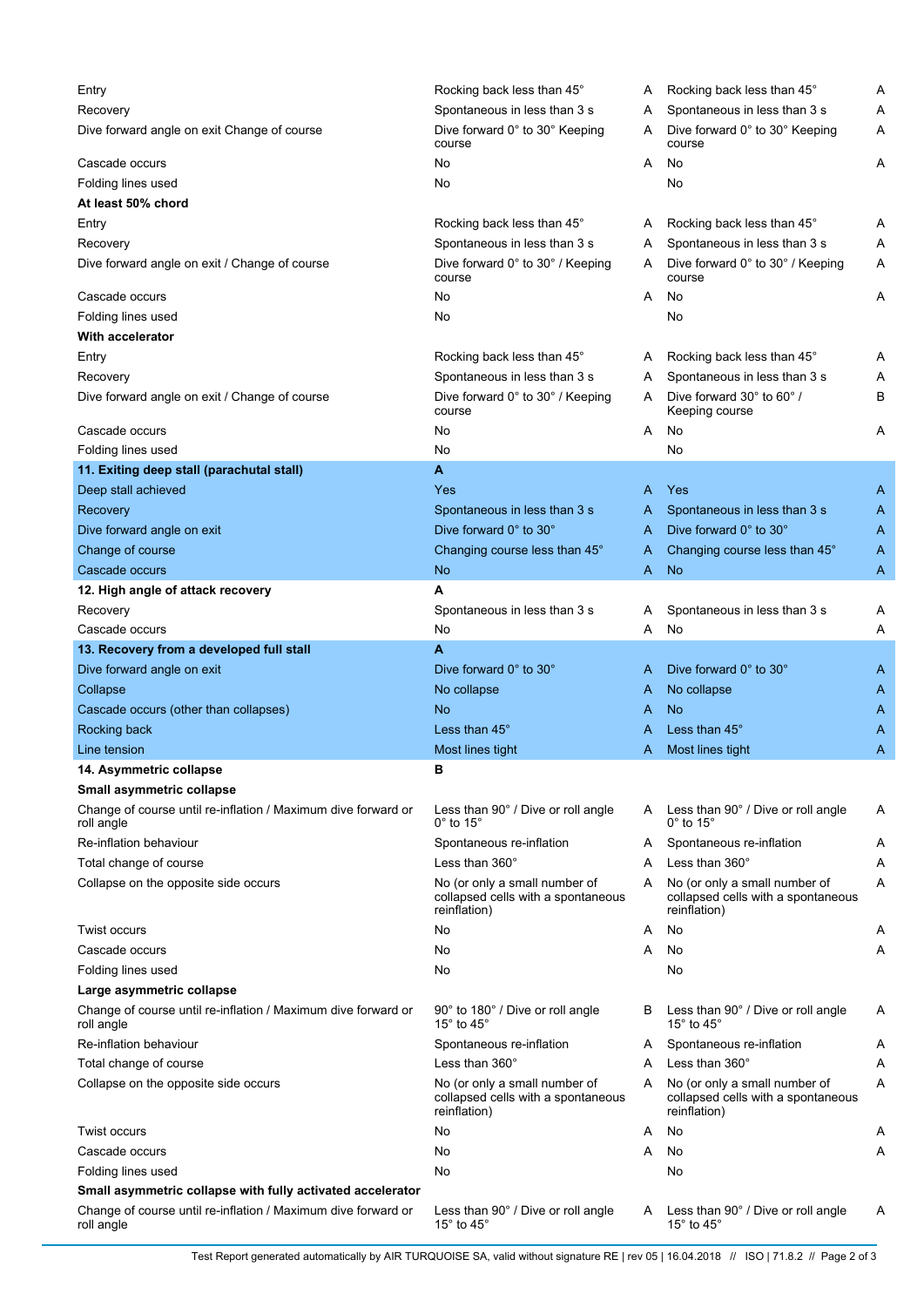| Entry                                                                                                                                             | Rocking back less than 45°                                                          | A | Rocking back less than 45°                                                          | Α |
|---------------------------------------------------------------------------------------------------------------------------------------------------|-------------------------------------------------------------------------------------|---|-------------------------------------------------------------------------------------|---|
| Recovery                                                                                                                                          | Spontaneous in less than 3 s                                                        | A | Spontaneous in less than 3 s                                                        | Α |
| Dive forward angle on exit Change of course                                                                                                       | Dive forward 0° to 30° Keeping<br>course                                            | A | Dive forward 0° to 30° Keeping<br>course                                            | Α |
| Cascade occurs                                                                                                                                    | No                                                                                  | A | No                                                                                  | Α |
| Folding lines used                                                                                                                                | No                                                                                  |   | No                                                                                  |   |
| At least 50% chord                                                                                                                                |                                                                                     |   |                                                                                     |   |
| Entry                                                                                                                                             | Rocking back less than 45°                                                          | A | Rocking back less than 45°                                                          | Α |
| Recovery                                                                                                                                          | Spontaneous in less than 3 s                                                        | A | Spontaneous in less than 3 s                                                        | Α |
| Dive forward angle on exit / Change of course                                                                                                     | Dive forward 0° to 30° / Keeping<br>course                                          | A | Dive forward 0° to 30° / Keeping<br>course                                          | Α |
| Cascade occurs                                                                                                                                    | No                                                                                  | A | No                                                                                  | Α |
| Folding lines used                                                                                                                                | No                                                                                  |   | No                                                                                  |   |
| <b>With accelerator</b>                                                                                                                           |                                                                                     |   |                                                                                     |   |
| Entry                                                                                                                                             | Rocking back less than 45°                                                          | A | Rocking back less than 45°                                                          | Α |
| Recovery                                                                                                                                          | Spontaneous in less than 3 s                                                        | A | Spontaneous in less than 3 s                                                        | Α |
| Dive forward angle on exit / Change of course                                                                                                     | Dive forward 0° to 30° / Keeping<br>course                                          | A | Dive forward 30° to 60° /<br>Keeping course                                         | В |
| Cascade occurs                                                                                                                                    | No                                                                                  | A | No                                                                                  | Α |
| Folding lines used                                                                                                                                | No                                                                                  |   | No                                                                                  |   |
| 11. Exiting deep stall (parachutal stall)                                                                                                         | A                                                                                   |   |                                                                                     |   |
| Deep stall achieved                                                                                                                               | Yes                                                                                 | A | Yes                                                                                 | A |
| Recovery                                                                                                                                          | Spontaneous in less than 3 s                                                        | A | Spontaneous in less than 3 s                                                        | A |
| Dive forward angle on exit                                                                                                                        | Dive forward 0° to 30°                                                              | A | Dive forward 0° to 30°                                                              | A |
| Change of course                                                                                                                                  | Changing course less than 45°                                                       | A | Changing course less than 45°                                                       | A |
| Cascade occurs                                                                                                                                    | <b>No</b>                                                                           | A | <b>No</b>                                                                           | Α |
| 12. High angle of attack recovery                                                                                                                 | A                                                                                   |   |                                                                                     |   |
| Recovery                                                                                                                                          | Spontaneous in less than 3 s                                                        | A | Spontaneous in less than 3 s                                                        | Α |
| Cascade occurs                                                                                                                                    | No                                                                                  | A | No                                                                                  | Α |
| 13. Recovery from a developed full stall                                                                                                          | A                                                                                   |   |                                                                                     |   |
| Dive forward angle on exit                                                                                                                        | Dive forward 0° to 30°                                                              | A | Dive forward 0° to 30°                                                              | A |
|                                                                                                                                                   |                                                                                     |   |                                                                                     |   |
| Collapse<br>Cascade occurs (other than collapses)                                                                                                 | No collapse<br>No                                                                   | A | No collapse<br><b>No</b>                                                            | A |
|                                                                                                                                                   | Less than $45^\circ$                                                                | A |                                                                                     | Α |
| Rocking back                                                                                                                                      |                                                                                     | A | Less than 45°                                                                       | A |
| Line tension                                                                                                                                      | Most lines tight                                                                    | A | Most lines tight                                                                    | Α |
| 14. Asymmetric collapse                                                                                                                           | в                                                                                   |   |                                                                                     |   |
| Small asymmetric collapse                                                                                                                         |                                                                                     |   |                                                                                     |   |
| Change of course until re-inflation / Maximum dive forward or<br>roll angle                                                                       | Less than 90° / Dive or roll angle<br>$0^\circ$ to 15 $^\circ$                      | A | Less than 90° / Dive or roll angle<br>$0^\circ$ to 15 $^\circ$                      | Α |
| Re-inflation behaviour                                                                                                                            | Spontaneous re-inflation                                                            | A | Spontaneous re-inflation                                                            | Α |
| Total change of course                                                                                                                            | Less than $360^\circ$                                                               | A | Less than 360°                                                                      | Α |
| Collapse on the opposite side occurs                                                                                                              | No (or only a small number of<br>collapsed cells with a spontaneous<br>reinflation) | A | No (or only a small number of<br>collapsed cells with a spontaneous<br>reinflation) | Α |
| Twist occurs                                                                                                                                      | No                                                                                  | A | No                                                                                  | Α |
| Cascade occurs                                                                                                                                    | No                                                                                  | A | No                                                                                  | Α |
| Folding lines used                                                                                                                                | No                                                                                  |   | No                                                                                  |   |
| Large asymmetric collapse                                                                                                                         |                                                                                     |   |                                                                                     |   |
| Change of course until re-inflation / Maximum dive forward or<br>roll angle                                                                       | 90° to 180° / Dive or roll angle<br>15 $^{\circ}$ to 45 $^{\circ}$                  | в | Less than 90° / Dive or roll angle<br>15 $\degree$ to 45 $\degree$                  | Α |
| Re-inflation behaviour                                                                                                                            | Spontaneous re-inflation                                                            | A | Spontaneous re-inflation                                                            | Α |
| Total change of course                                                                                                                            | Less than $360^\circ$                                                               | A | Less than 360°                                                                      | Α |
| Collapse on the opposite side occurs                                                                                                              | No (or only a small number of<br>collapsed cells with a spontaneous<br>reinflation) | Α | No (or only a small number of<br>collapsed cells with a spontaneous<br>reinflation) | Α |
| Twist occurs                                                                                                                                      | No                                                                                  | A | No                                                                                  | Α |
| Cascade occurs                                                                                                                                    | No                                                                                  | A | No                                                                                  | Α |
| Folding lines used                                                                                                                                | No                                                                                  |   | No                                                                                  |   |
| Small asymmetric collapse with fully activated accelerator                                                                                        |                                                                                     |   |                                                                                     |   |
| Change of course until re-inflation / Maximum dive forward or<br>Less than 90° / Dive or roll angle<br>15 $\degree$ to 45 $\degree$<br>roll angle |                                                                                     | A | Less than 90° / Dive or roll angle<br>15 $\degree$ to 45 $\degree$                  | Α |